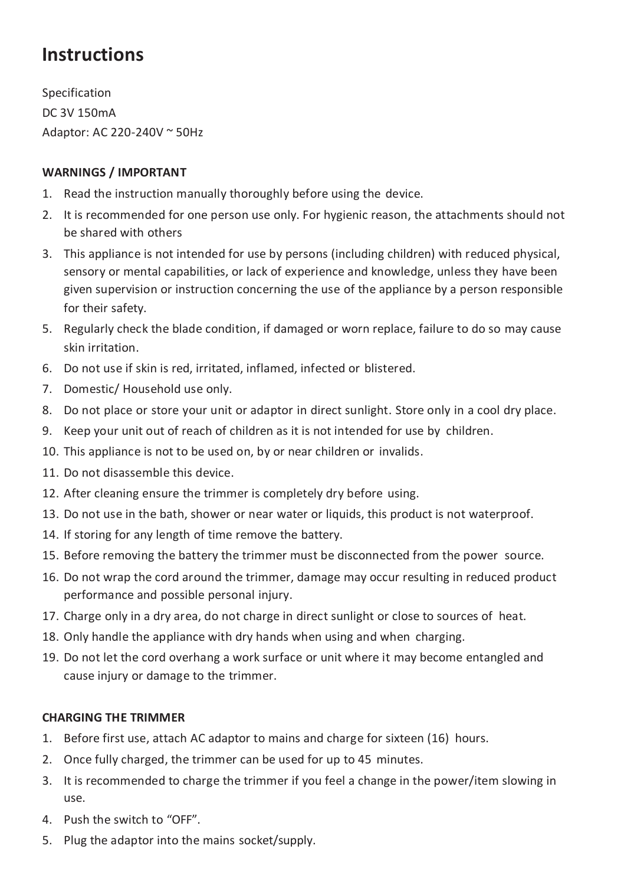# **Instructions**

Specification DC 3V 150mA Adaptor: AC 220-240V ~ 50Hz

## **WARNINGS / IMPORTANT**

- 1. Read the instruction manually thoroughly before using the device.
- 2. It is recommended for one person use only. For hygienic reason, the attachments should not be shared with others
- 3. This appliance is not intended for use by persons (including children) with reduced physical, sensory or mental capabilities, or lack of experience and knowledge, unless they have been given supervision or instruction concerning the use of the appliance by a person responsible for their safety.
- 5. Regularly check the blade condition, if damaged or worn replace, failure to do so may cause skin irritation.
- 6. Do not use if skin is red, irritated, inflamed, infected or blistered.
- 7. Domestic/ Household use only.
- 8. Do not place or store your unit or adaptor in direct sunlight. Store only in a cool dry place.
- 9. Keep your unit out of reach of children as it is not intended for use by children.
- 10. This appliance is not to be used on, by or near children or invalids.
- 11. Do not disassemble this device.
- 12. After cleaning ensure the trimmer is completely dry before using.
- 13. Do not use in the bath, shower or near water or liquids, this product is not waterproof.
- 14. If storing for any length of time remove the battery.
- 15. Before removing the battery the trimmer must be disconnected from the power source.
- 16. Do not wrap the cord around the trimmer, damage may occur resulting in reduced product performance and possible personal injury.
- 17. Charge only in a dry area, do not charge in direct sunlight or close to sources of heat.
- 18. Only handle the appliance with dry hands when using and when charging.
- 19. Do not let the cord overhang a work surface or unit where it may become entangled and cause injury or damage to the trimmer.

### **CHARGING THE TRIMMER**

- 1. Before first use, attach AC adaptor to mains and charge for sixteen (16) hours.
- 2. Once fully charged, the trimmer can be used for up to 45 minutes.
- 3. It is recommended to charge the trimmer if you feel a change in the power/item slowing in use.
- 4. Push the switch to "OFF".
- 5. Plug the adaptor into the mains socket/supply.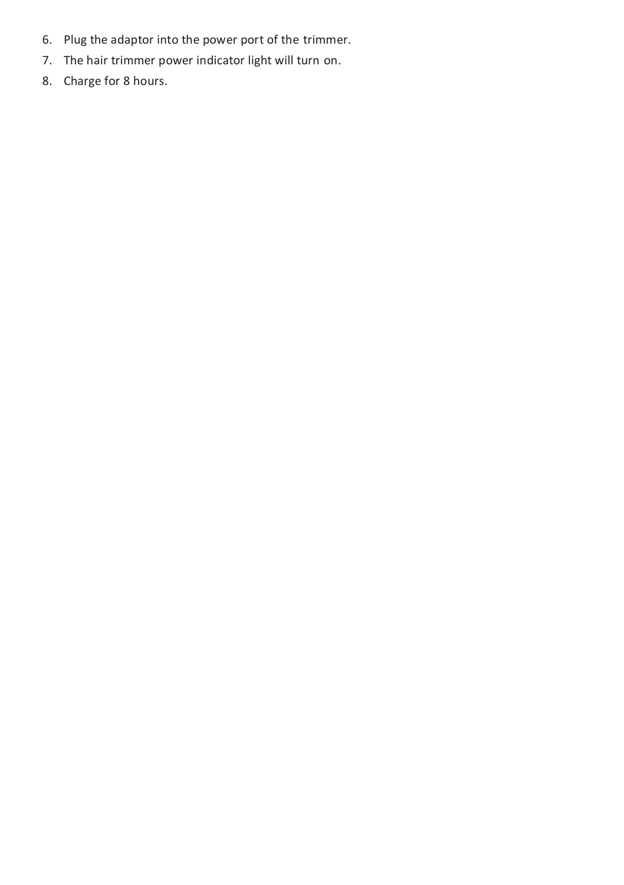- 6. Plug the adaptor into the power port of the trimmer.
- 7. The hair trimmer power indicator light will turn on.
- 8. Charge for 8 hours.